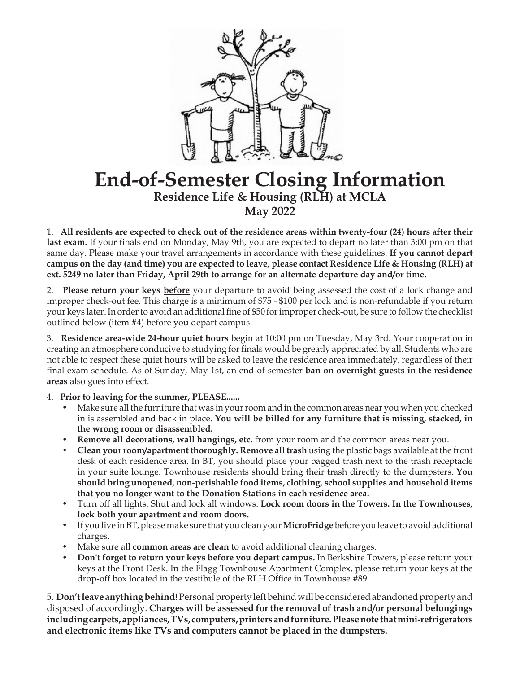

## **End-of-Semester Closing Information Residence Life & Housing (RLH) at MCLA May 2022**

1. **All residents are expected to check out of the residence areas within twenty-four (24) hours after their last exam.** If your finals end on Monday, May 9th, you are expected to depart no later than 3:00 pm on that same day. Please make your travel arrangements in accordance with these guidelines. **If you cannot depart campus on the day (and time) you are expected to leave, please contact Residence Life & Housing (RLH) at ext. 5249 no later than Friday, April 29th to arrange for an alternate departure day and/or time.** 

2. **Please return your keys before** your departure to avoid being assessed the cost of a lock change and improper check-out fee. This charge is a minimum of \$75 - \$100 per lock and is non-refundable if you return your keys later. In order to avoid an additional fine of \$50 for improper check-out, be sure to follow the checklist outlined below (item #4) before you depart campus.

3. **Residence area-wide 24-hour quiet hours** begin at 10:00 pm on Tuesday, May 3rd. Your cooperation in creating an atmosphere conducive to studying for finals would be greatly appreciated by all. Students who are not able to respect these quiet hours will be asked to leave the residence area immediately, regardless of their final exam schedule. As of Sunday, May 1st, an end-of-semester **ban on overnight guests in the residence areas** also goes into effect.

4. **Prior to leaving for the summer, PLEASE......**

- Make sure all the furniture that was in your room and in the common areas near you when you checked in is assembled and back in place. **You will be billed for any furniture that is missing, stacked, in the wrong room or disassembled.**
- **• Remove all decorations, wall hangings, etc.** from your room and the common areas near you.
- **• Clean your room/apartment thoroughly. Remove all trash** using the plastic bags available at the front desk of each residence area. In BT, you should place your bagged trash next to the trash receptacle in your suite lounge. Townhouse residents should bring their trash directly to the dumpsters. **You should bring unopened, non-perishable food items, clothing, school supplies and household items that you no longer want to the Donation Stations in each residence area.**
- Turn off all lights. Shut and lock all windows. **Lock room doors in the Towers. In the Townhouses, lock both your apartment and room doors.**
- If you live in BT, please make sure that you clean your **MicroFridge** before you leave to avoid additional charges.
- Make sure all **common areas are clean** to avoid additional cleaning charges.
- **• Don't forget to return your keys before you depart campus.** In Berkshire Towers, please return your keys at the Front Desk. In the Flagg Townhouse Apartment Complex, please return your keys at the drop-off box located in the vestibule of the RLH Office in Townhouse #89.

5. **Don't leave anything behind!** Personal property left behind will be considered abandoned property and disposed of accordingly. **Charges will be assessed for the removal of trash and/or personal belongings including carpets, appliances, TVs, computers, printers and furniture. Please note that mini-refrigerators and electronic items like TVs and computers cannot be placed in the dumpsters.**